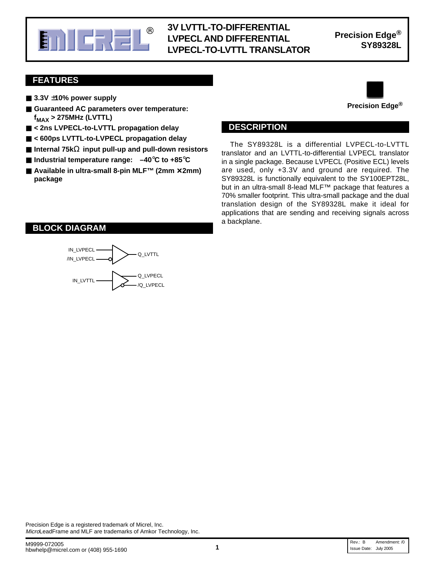

#### **E. A FICH AND DEFERENTIAL** Precision Edge<sup>®</sup> **3V LVTTL-TO-DIFFERENTIAL LVPECL AND DIFFERENTIAL LVPECL-TO-LVTTL TRANSLATOR**

**Precision Edge®**

#### **FEATURES**

- 3.3V ±10% power supply
- Guaranteed AC parameters over temperature: **f MAX > 275MHz (LVTTL)**
- < 2ns LVPECL-to-LVTTL propagation delay
- < 600ps LVTTL-to-LVPECL propagation delay
- **Internal 75k**Ω **input pull-up and pull-down resistors**
- **Industrial temperature range: –40**°**C to +85**°**C**
- **Available in ultra-small 8-pin MLF<sup>™</sup> (2mm × 2mm) package**



#### **DESCRIPTION**

The SY89328L is a differential LVPECL-to-LVTTL translator and an LVTTL-to-differential LVPECL translator in a single package. Because LVPECL (Positive ECL) levels are used, only +3.3V and ground are required. The SY89328L is functionally equivalent to the SY100EPT28L, but in an ultra-small 8-lead MLF™ package that features a 70% smaller footprint. This ultra-small package and the dual translation design of the SY89328L make it ideal for applications that are sending and receiving signals across a backplane.

#### **BLOCK DIAGRAM**

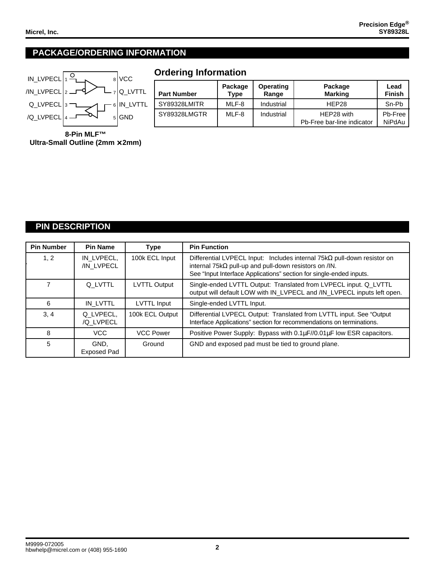#### **PACKAGE/ORDERING INFORMATION**



## **Ordering Information**

| <b>Part Number</b> | Package<br>Type | <b>Operating</b><br>Range | Package<br><b>Marking</b>                | Lead<br><b>Finish</b> |
|--------------------|-----------------|---------------------------|------------------------------------------|-----------------------|
| SY89328LMITR       | MLF-8           | Industrial                | HEP28                                    | Sn-Pb                 |
| SY89328LMGTR       | MLF-8           | Industrial                | HEP28 with<br>Pb-Free bar-line indicator | Pb-Free<br>NiPdAu     |

**8-Pin MLF™ Ultra-Small Outline (2mm** × **2mm)**

#### **PIN DESCRIPTION**

| <b>Pin Number</b> | <b>Pin Name</b>          | <b>Type</b>         | <b>Pin Function</b>                                                                                                                                                                                                   |
|-------------------|--------------------------|---------------------|-----------------------------------------------------------------------------------------------------------------------------------------------------------------------------------------------------------------------|
| 1, 2              | IN LVPECL.<br>/IN_LVPECL | 100k ECL Input      | Differential LVPECL Input: Includes internal $75k\Omega$ pull-down resistor on<br>internal $75k\Omega$ pull-up and pull-down resistors on /IN.<br>See "Input Interface Applications" section for single-ended inputs. |
|                   | Q LVTTL                  | <b>LVTTL Output</b> | Single-ended LVTTL Output: Translated from LVPECL input. Q_LVTTL<br>output will default LOW with IN_LVPECL and /IN_LVPECL inputs left open.                                                                           |
| 6                 | IN LVTTL                 | LVTTL Input         | Single-ended LVTTL Input.                                                                                                                                                                                             |
| 3, 4              | Q_LVPECL,<br>/Q_LVPECL   | 100k ECL Output     | Differential LVPECL Output: Translated from LVTTL input. See "Output<br>Interface Applications" section for recommendations on terminations.                                                                          |
| 8                 | VCC.                     | <b>VCC Power</b>    | Positive Power Supply: Bypass with 0.1µF//0.01µF low ESR capacitors.                                                                                                                                                  |
| 5                 | GND.<br>Exposed Pad      | Ground              | GND and exposed pad must be tied to ground plane.                                                                                                                                                                     |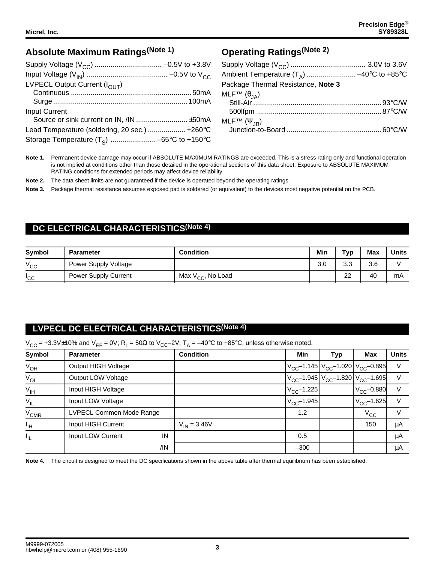## **Absolute Maximum Ratings(Note 1)**

| LVPECL Output Current (I <sub>OUT</sub> )     |  |
|-----------------------------------------------|--|
|                                               |  |
|                                               |  |
| <b>Input Current</b>                          |  |
|                                               |  |
| Lead Temperature (soldering, 20 sec.)  +260°C |  |
|                                               |  |

# **Operating Ratings(Note 2)**

| Ambient Temperature $(T_A)$ -40°C to +85°C |  |
|--------------------------------------------|--|
| Package Thermal Resistance, Note 3         |  |
|                                            |  |
|                                            |  |
|                                            |  |
|                                            |  |
|                                            |  |

**Note 1.** Permanent device damage may occur if ABSOLUTE MAXIMUM RATINGS are exceeded. This is a stress rating only and functional operation is not implied at conditions other than those detailed in the operational sections of this data sheet. Exposure to ABSOLUTE MAXIMUM RATlNG conditions for extended periods may affect device reliability.

**Note 2.** The data sheet limits are not guaranteed if the device is operated beyond the operating ratings.

**Note 3.** Package thermal resistance assumes exposed pad is soldered (or equivalent) to the devices most negative potential on the PCB.

#### **DC ELECTRICAL CHARACTERISTICS(Note 4)**

| <b>Symbol</b>   | <b>Parameter</b>            | <b>Condition</b>              | Min | Typ       | <b>Max</b> | <b>Units</b> |
|-----------------|-----------------------------|-------------------------------|-----|-----------|------------|--------------|
| $V_{\rm CC}$    | Power Supply Voltage        |                               | 3.0 | ററ<br>v.u | 3.6        |              |
| <sub>'</sub> CC | <b>Power Supply Current</b> | Max V <sub>CC</sub> , No Load |     | ົດ<br>∠∠  | 40         | mA           |

#### **LVPECL DC ELECTRICAL CHARACTERISTICS(Note 4)**

 $V_{CC}$  = +3.3V±10% and  $V_{EE}$  = 0V; R<sub>L</sub> = 50Ω to  $V_{CC}$ -2V; T<sub>A</sub> = -40°C to +85°C, unless otherwise noted.

| Symbol          | <b>Parameter</b>         | <b>Condition</b> | Min             | Typ                                             | Max                         | <b>Units</b> |
|-----------------|--------------------------|------------------|-----------------|-------------------------------------------------|-----------------------------|--------------|
| $V_{OH}$        | Output HIGH Voltage      |                  |                 | $V_{CC}$ -1.145 $V_{CC}$ -1.020 $V_{CC}$ -0.895 |                             | $\vee$       |
| $V_{OL}$        | Output LOW Voltage       |                  |                 | $V_{CC}$ -1.945 $V_{CC}$ -1.820 $V_{CC}$ -1.695 |                             | $\vee$       |
| $V_{IH}$        | Input HIGH Voltage       |                  | $V_{CC}$ -1.225 |                                                 | $\rm V_{CC}$ –0.880 $\rm  $ | $\vee$       |
| $V_{IL}$        | Input LOW Voltage        |                  | $V_{CC}$ -1.945 |                                                 | $V_{CC}$ -1.625             | $\vee$       |
| $V_{CMR}$       | LVPECL Common Mode Range |                  | 1.2             |                                                 | $V_{\rm CC}$                | $\vee$       |
| $I_{\text{IH}}$ | Input HIGH Current       | $V_{IN} = 3.46V$ |                 |                                                 | 150                         | μA           |
| ŀμ              | Input LOW Current<br>IN  |                  | 0.5             |                                                 |                             | μA           |
|                 | /IN                      |                  | $-300$          |                                                 |                             | μA           |

**Note 4.** The circuit is designed to meet the DC specifications shown in the above table after thermal equilibrium has been established.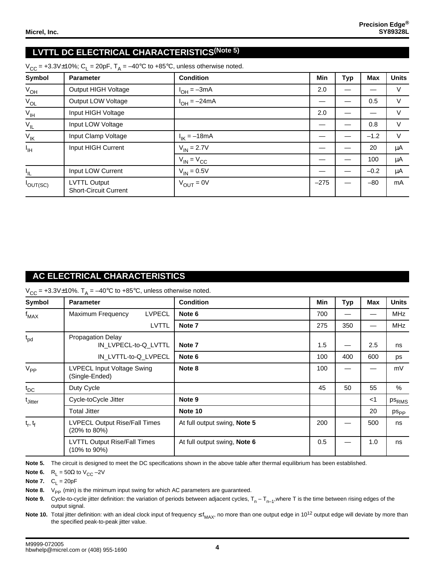## **LVTTL DC ELECTRICAL CHARACTERISTICS(Note 5)**

| Symbol            | <b>Parameter</b>                                    | <b>Condition</b>      | <b>Min</b> | <b>Typ</b> | <b>Max</b> | <b>Units</b> |
|-------------------|-----------------------------------------------------|-----------------------|------------|------------|------------|--------------|
| $V_{OH}$          | Output HIGH Voltage                                 | $I_{OH} = -3mA$       | 2.0        |            |            | $\vee$       |
| $V_{OL}$          | Output LOW Voltage                                  | $I_{OH} = -24mA$      |            |            | 0.5        | V            |
| $V_{\text{IH}}$   | Input HIGH Voltage                                  |                       | 2.0        |            |            |              |
| $V_{\vert L}$     | Input LOW Voltage                                   |                       |            |            | 0.8        | $\vee$       |
| $V_{\mathsf{IK}}$ | Input Clamp Voltage                                 | $I_{IK} = -18mA$      |            |            | $-1.2$     | $\vee$       |
| $I_{\text{IH}}$   | Input HIGH Current                                  | $V_{IN} = 2.7V$       |            |            | 20         | μA           |
|                   |                                                     | $V_{IN} = V_{CC}$     |            |            | 100        | μA           |
| IIL.              | Input LOW Current                                   | $V_{IN} = 0.5V$       |            |            | $-0.2$     | μA           |
| $I_{OUT(SC)}$     | <b>LVTTL Output</b><br><b>Short-Circuit Current</b> | $V_{\text{OUT}} = 0V$ | $-275$     |            | $-80$      | mA           |

#### $V_{CC}$  = +3.3V $\pm$ 10%; C<sub>L</sub> = 20pF, T<sub>A</sub> = -40°C to +85°C, unless otherwise noted.

#### **AC ELECTRICAL CHARACTERISTICS**

 $V_{CC}$  = +3.3V±10%.  $T_A$  = -40°C to +85°C, unless otherwise noted.

| <b>Symbol</b>       | <b>Parameter</b>                                    | <b>Condition</b>             | Min | Typ | <b>Max</b> | <b>Units</b> |
|---------------------|-----------------------------------------------------|------------------------------|-----|-----|------------|--------------|
| $f_{MAX}$           | <b>LVPECL</b><br>Maximum Frequency                  | Note 6                       | 700 |     |            | <b>MHz</b>   |
|                     | <b>LVTTL</b>                                        | Note 7                       | 275 | 350 |            | <b>MHz</b>   |
| $t_{pd}$            | Propagation Delay<br>IN LVPECL-to-Q LVTTL           | Note 7                       | 1.5 |     | 2.5        | ns           |
|                     | IN LVTTL-to-Q LVPECL                                | Note 6                       | 100 | 400 | 600        | ps           |
| $V_{PP}$            | LVPECL Input Voltage Swing<br>(Single-Ended)        | Note 8                       | 100 |     |            | mV           |
| $t_{\text{DC}}$     | Duty Cycle                                          |                              | 45  | 50  | 55         | %            |
| <sup>t</sup> Jitter | Cycle-toCycle Jitter                                | Note 9                       |     |     | $<$ 1      | <b>PSRMS</b> |
|                     | <b>Total Jitter</b>                                 | Note 10                      |     |     | 20         | $ps_{PP}$    |
| $t_r, t_f$          | LVPECL Output Rise/Fall Times<br>(20% to 80%)       | At full output swing, Note 5 | 200 |     | 500        | ns           |
|                     | <b>LVTTL Output Rise/Fall Times</b><br>(10% to 90%) | At full output swing, Note 6 | 0.5 |     | 1.0        | ns           |

**Note 5.** The circuit is designed to meet the DC specifications shown in the above table after thermal equilibrium has been established.

**Note 6.**  $R_L = 50\Omega$  to  $V_{CC} - 2V$ 

**Note 7.**  $C_1 = 20pF$ 

**Note 8.** V<sub>PP</sub> (min) is the minimum input swing for which AC parameters are guaranteed.

**Note 9.** Cycle-to-cycle jitter definition: the variation of periods between adjacent cycles,  $T_n - T_{n-1}$ , where T is the time between rising edges of the output signal.

Note 10. Total jitter definition: with an ideal clock input of frequency  $\leq f_{MAX}$ , no more than one output edge in 10<sup>12</sup> output edge will deviate by more than the specified peak-to-peak jitter value.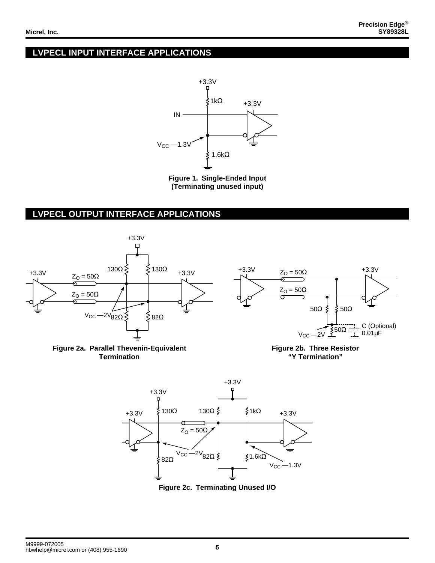#### **LVPECL INPUT INTERFACE APPLICATIONS**



**Figure 1. Single-Ended Input (Terminating unused input)**

#### **LVPECL OUTPUT INTERFACE APPLICATIONS**





**Figure 2c. Terminating Unused I/O**